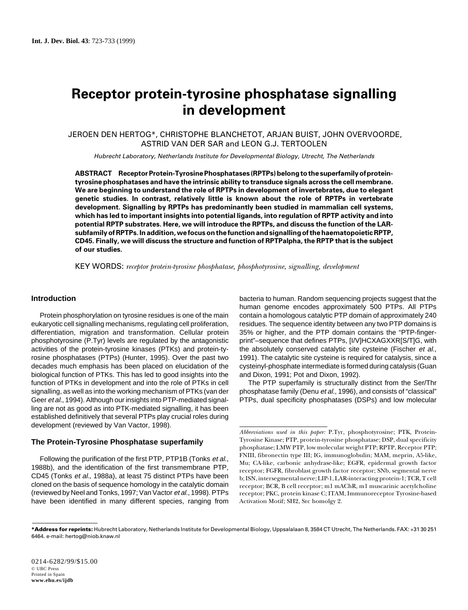# **Receptor protein-tyrosine phosphatase signalling in development**

 JEROEN DEN HERTOG\*, CHRISTOPHE BLANCHETOT, ARJAN BUIST, JOHN OVERVOORDE, ASTRID VAN DER SAR and LEON G.J. TERTOOLEN

Hubrecht Laboratory, Netherlands Institute for Developmental Biology, Utrecht, The Netherlands

**ABSTRACT Receptor Protein-Tyrosine Phosphatases (RPTPs) belong to the superfamily of proteintyrosine phosphatases and have the intrinsic ability to transduce signals across the cell membrane. We are beginning to understand the role of RPTPs in development of invertebrates, due to elegant genetic studies. In contrast, relatively little is known about the role of RPTPs in vertebrate development. Signalling by RPTPs has predominantly been studied in mammalian cell systems, which has led to important insights into potential ligands, into regulation of RPTP activity and into potential RPTP substrates. Here, we will introduce the RPTPs, and discuss the function of the LARsubfamily of RPTPs. In addition, we focus on the function and signalling of the haematopoietic RPTP, CD45. Finally, we will discuss the structure and function of RPTPalpha, the RPTP that is the subject of our studies.**

KEY WORDS: *receptor protein-tyrosine phosphatase, phosphotyrosine, signalling, development*

# **Introduction**

Protein phosphorylation on tyrosine residues is one of the main eukaryotic cell signalling mechanisms, regulating cell proliferation, differentiation, migration and transformation. Cellular protein phosphotyrosine (P.Tyr) levels are regulated by the antagonistic activities of the protein-tyrosine kinases (PTKs) and protein-tyrosine phosphatases (PTPs) (Hunter, 1995). Over the past two decades much emphasis has been placed on elucidation of the biological function of PTKs. This has led to good insights into the function of PTKs in development and into the role of PTKs in cell signalling, as well as into the working mechanism of PTKs (van der Geer et al., 1994). Although our insights into PTP-mediated signalling are not as good as into PTK-mediated signalling, it has been established definitively that several PTPs play crucial roles during development (reviewed by Van Vactor, 1998).

## **The Protein-Tyrosine Phosphatase superfamily**

Following the purification of the first PTP, PTP1B (Tonks et al., 1988b), and the identification of the first transmembrane PTP, CD45 (Tonks et al., 1988a), at least 75 distinct PTPs have been cloned on the basis of sequence homology in the catalytic domain (reviewed by Neel and Tonks, 1997; Van Vactor et al., 1998). PTPs have been identified in many different species, ranging from

bacteria to human. Random sequencing projects suggest that the human genome encodes approximately 500 PTPs. All PTPs contain a homologous catalytic PTP domain of approximately 240 residues. The sequence identity between any two PTP domains is 35% or higher, and the PTP domain contains the "PTP-fingerprint"–sequence that defines PTPs, [I/V]HCXAGXXR[S/T]G, with the absolutely conserved catalytic site cysteine (Fischer et al., 1991). The catalytic site cysteine is required for catalysis, since a cysteinyl-phosphate intermediate is formed during catalysis (Guan and Dixon, 1991; Pot and Dixon, 1992).

The PTP superfamily is structurally distinct from the Ser/Thr phosphatase family (Denu et al., 1996), and consists of "classical" PTPs, dual specificity phosphatases (DSPs) and low molecular

*Abbreviations used in this paper:* P.Tyr, phosphotyrosine; PTK, Protein-Tyrosine Kinase; PTP, protein-tyrosine phosphatase; DSP, dual specificity phosphatase; LMW PTP, low molecular weight PTP; RPTP, Receptor PTP; FNIII, fibronectin type III; IG, immunoglobulin; MAM, meprin, A5-like, Mu; CA-like, carbonic anhydrase-like; EGFR, epidermal growth factor receptor; FGFR, fibroblast growth factor receptor; SNb, segmental nerve b; ISN, intersegmental nerve; LIP-1, LAR-interacting protein-1; TCR, T cell receptor; BCR, B cell receptor; m1 mAChR, m1 muscarinic acetylcholine receptor; PKC, protein kinase C; ITAM, Immunoreceptor Tyrosine-based Activation Motif; SH2, Src homolgy 2.

**<sup>\*</sup>Address for reprints:** Hubrecht Laboratory, Netherlands Institute for Developmental Biology, Uppsalalaan 8, 3584 CT Utrecht, The Netherlands. FAX: +31 30 251 6464. e-mail: hertog@niob.knaw.nl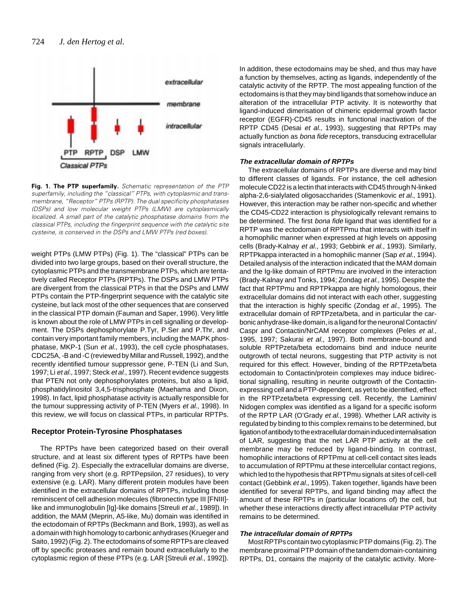

**Fig. 1. The PTP superfamily.** Schematic representation of the PTP superfamily, including the "classical" PTPs, with cytoplasmic and transmembrane, "Receptor" PTPs (RPTP). The dual specificity phosphatases (DSPs) and low molecular weight PTPs (LMW) are cytoplasmically localized. A small part of the catalytic phosphatase domains from the classical PTPs, including the fingerprint sequence with the catalytic site cysteine, is conserved in the DSPs and LMW PTPs (red boxes).

weight PTPs (LMW PTPs) (Fig. 1). The "classical" PTPs can be divided into two large groups, based on their overall structure, the cytoplasmic PTPs and the transmembrane PTPs, which are tentatively called Receptor PTPs (RPTPs). The DSPs and LMW PTPs are divergent from the classical PTPs in that the DSPs and LMW PTPs contain the PTP-fingerprint sequence with the catalytic site cysteine, but lack most of the other sequences that are conserved in the classical PTP domain (Fauman and Saper, 1996). Very little is known about the role of LMW PTPs in cell signalling or development. The DSPs dephosphorylate P.Tyr, P.Ser and P.Thr, and contain very important family members, including the MAPK phosphatase, MKP-1 (Sun et al., 1993), the cell cycle phosphatases, CDC25A, -B and -C (reviewed by Millar and Russell, 1992), and the recently identified tumour suppressor gene, P-TEN (Li and Sun, 1997; Li et al., 1997; Steck et al., 1997). Recent evidence suggests that PTEN not only dephosphorylates proteins, but also a lipid, phosphatidylinositol 3,4,5-trisphosphate (Maehama and Dixon, 1998). In fact, lipid phosphatase activity is actually responsible for the tumour suppressing activity of P-TEN (Myers et al., 1998). In this review, we will focus on classical PTPs, in particular RPTPs.

## **Receptor Protein-Tyrosine Phosphatases**

The RPTPs have been categorized based on their overall structure, and at least six different types of RPTPs have been defined (Fig. 2). Especially the extracellular domains are diverse, ranging from very short (e.g. RPTPepsilon, 27 residues), to very extensive (e.g. LAR). Many different protein modules have been identified in the extracellular domains of RPTPs, including those reminiscent of cell adhesion molecules (fibronectin type III [FNIII] like and immunoglobulin [Ig]-like domains [Streuli et al., 1989]). In addition, the MAM (Meprin, A5-like, Mu) domain was identified in the ectodomain of RPTPs (Beckmann and Bork, 1993), as well as a domain with high homology to carbonic anhydrases (Krueger and Saito, 1992) (Fig. 2). The ectodomains of some RPTPs are cleaved off by specific proteases and remain bound extracellularly to the cytoplasmic region of these PTPs (e.g. LAR [Streuli et al., 1992]).

In addition, these ectodomains may be shed, and thus may have a function by themselves, acting as ligands, independently of the catalytic activity of the RPTP. The most appealing function of the ectodomains is that they may bind ligands that somehow induce an alteration of the intracellular PTP activity. It is noteworthy that ligand-induced dimerisation of chimeric epidermal growth factor receptor (EGFR)-CD45 results in functional inactivation of the RPTP CD45 (Desai et al., 1993), suggesting that RPTPs may actually function as bona fide receptors, transducing extracellular signals intracellularly.

# **The extracellular domain of RPTPs**

The extracellular domains of RPTPs are diverse and may bind to different classes of ligands. For instance, the cell adhesion molecule CD22 is a lectin that interacts with CD45 through N-linked alpha-2,6-sialylated oligosaccharides (Stamenkovic et al., 1991). However, this interaction may be rather non-specific and whether the CD45-CD22 interaction is physiologically relevant remains to be determined. The first bona fide ligand that was identified for a RPTP was the ectodomain of RPTPmu that interacts with itself in a homophilic manner when expressed at high levels on apposing cells (Brady-Kalnay et al., 1993; Gebbink et al., 1993). Similarly, RPTPkappa interacted in a homophilic manner (Sap et al., 1994). Detailed analysis of the interaction indicated that the MAM domain and the Ig-like domain of RPTPmu are involved in the interaction (Brady-Kalnay and Tonks, 1994; Zondag et al., 1995). Despite the fact that RPTPmu and RPTPkappa are highly homologous, their extracellular domains did not interact with each other, suggesting that the interaction is highly specific (Zondag et al., 1995). The extracellular domain of RPTPzeta/beta, and in particular the carbonic anhydrase-like domain, is a ligand for the neuronal Contactin/ Caspr and Contactin/NrCAM receptor complexes (Peles et al., 1995, 1997; Sakurai et al., 1997). Both membrane-bound and soluble RPTPzeta/beta ectodomains bind and induce neurite outgrowth of tectal neurons, suggesting that PTP activity is not required for this effect. However, binding of the RPTPzeta/beta ectodomain to Contactin/protein complexes may induce bidirectional signalling, resulting in neurite outgrowth of the Contactinexpressing cell and a PTP-dependent, as yet to be identified, effect in the RPTPzeta/beta expressing cell. Recently, the Laminin/ Nidogen complex was identified as a ligand for a specific isoform of the RPTP LAR (O'Grady et al., 1998). Whether LAR activity is regulated by binding to this complex remains to be determined, but ligation of antibody to the extracellular domain induced internalisation of LAR, suggesting that the net LAR PTP activity at the cell membrane may be reduced by ligand-binding. In contrast, homophilic interactions of RPTPmu at cell-cell contact sites leads to accumulation of RPTPmu at these intercellular contact regions, which led to the hypothesis that RPTPmu signals at sites of cell-cell contact (Gebbink et al., 1995). Taken together, ligands have been identified for several RPTPs, and ligand binding may affect the amount of these RPTPs in (particular locations of) the cell, but whether these interactions directly affect intracellular PTP activity remains to be determined.

#### **The intracellular domain of RPTPs**

Most RPTPs contain two cytoplasmic PTP domains (Fig. 2). The membrane proximal PTP domain of the tandem domain-containing RPTPs, D1, contains the majority of the catalytic activity. More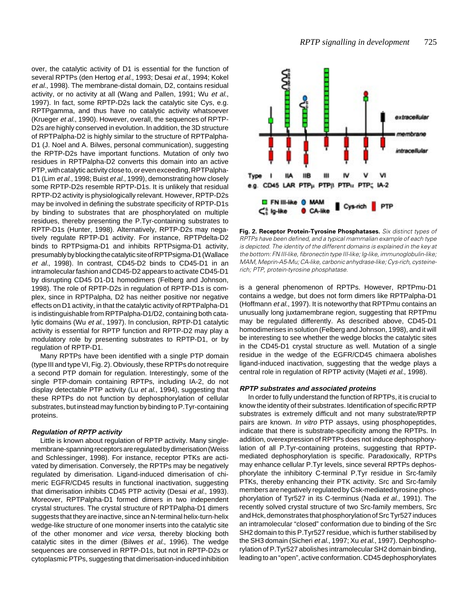over, the catalytic activity of D1 is essential for the function of several RPTPs (den Hertog et al., 1993; Desai et al., 1994; Kokel et al., 1998). The membrane-distal domain, D2, contains residual activity, or no activity at all (Wang and Pallen, 1991; Wu et al., 1997). In fact, some RPTP-D2s lack the catalytic site Cys, e.g. RPTPgamma, and thus have no catalytic activity whatsoever (Krueger et al., 1990). However, overall, the sequences of RPTP-D2s are highly conserved in evolution. In addition, the 3D structure of RPTPalpha-D2 is highly similar to the structure of RPTPalpha-D1 (J. Noel and A. Bilwes, personal communication), suggesting the RPTP-D2s have important functions. Mutation of only two residues in RPTPalpha-D2 converts this domain into an active PTP, with catalytic activity close to, or even exceeding, RPTPalpha-D1 (Lim et al., 1998; Buist et al., 1999), demonstrating how closely some RPTP-D2s resemble RPTP-D1s. It is unlikely that residual RPTP-D2 activity is physiologically relevant. However, RPTP-D2s may be involved in defining the substrate specificity of RPTP-D1s by binding to substrates that are phosphorylated on multiple residues, thereby presenting the P.Tyr-containing substrates to RPTP-D1s (Hunter, 1998). Alternatively, RPTP-D2s may negatively regulate RPTP-D1 activity. For instance, RPTPdelta-D2 binds to RPTPsigma-D1 and inhibits RPTPsigma-D1 activity, presumably by blocking the catalytic site of RPTPsigma-D1 (Wallace et al., 1998). In contrast, CD45-D2 binds to CD45-D1 in an intramolecular fashion and CD45-D2 appears to activate CD45-D1 by disrupting CD45 D1-D1 homodimers (Felberg and Johnson, 1998). The role of RPTP-D2s in regulation of RPTP-D1s is complex, since in RPTPalpha, D2 has neither positive nor negative effects on D1 activity, in that the catalytic activity of RPTPalpha-D1 is indistinguishable from RPTPalpha-D1/D2, containing both catalytic domains (Wu et al., 1997). In conclusion, RPTP-D1 catalytic activity is essential for RPTP function and RPTP-D2 may play a modulatory role by presenting substrates to RPTP-D1, or by regulation of RPTP-D1.

Many RPTPs have been identified with a single PTP domain (type III and type VI, Fig. 2). Obviously, these RPTPs do not require a second PTP domain for regulation. Interestingly, some of the single PTP-domain containing RPTPs, including IA-2, do not display detectable PTP activity (Lu et al., 1994), suggesting that these RPTPs do not function by dephosphorylation of cellular substrates, but instead may function by binding to P.Tyr-containing proteins.

#### **Regulation of RPTP activity**

Little is known about regulation of RPTP activity. Many singlemembrane-spanning receptors are regulated by dimerisation (Weiss and Schlessinger, 1998). For instance, receptor PTKs are activated by dimerisation. Conversely, the RPTPs may be negatively regulated by dimerisation. Ligand-induced dimerisation of chimeric EGFR/CD45 results in functional inactivation, suggesting that dimerisation inhibits CD45 PTP activity (Desai et al., 1993). Moreover, RPTPalpha-D1 formed dimers in two independent crystal structures. The crystal structure of RPTPalpha-D1 dimers suggests that they are inactive, since an N-terminal helix-turn-helix wedge-like structure of one monomer inserts into the catalytic site of the other monomer and vice versa, thereby blocking both catalytic sites in the dimer (Bilwes et al., 1996). The wedge sequences are conserved in RPTP-D1s, but not in RPTP-D2s or cytoplasmic PTPs, suggesting that dimerisation-induced inhibition



**Fig. 2. Receptor Protein-Tyrosine Phosphatases.** Six distinct types of RPTPs have been defined, and a typical mammalian example of each type is depicted. The identity of the different domains is explained in the key at the bottom: FN III-like, fibronectin type III-like; Ig-like, immunoglobulin-like; MAM, Meprin-A5-Mu; CA-like, carbonic anhydrase-like; Cys-rich, cysteinerich; PTP, protein-tyrosine phosphatase.

is a general phenomenon of RPTPs. However, RPTPmu-D1 contains a wedge, but does not form dimers like RPTPalpha-D1 (Hoffmann et al., 1997). It is noteworthy that RPTPmu contains an unusually long juxtamembrane region, suggesting that RPTPmu may be regulated differently. As described above, CD45-D1 homodimerises in solution (Felberg and Johnson, 1998), and it will be interesting to see whether the wedge blocks the catalytic sites in the CD45-D1 crystal structure as well. Mutation of a single residue in the wedge of the EGFR/CD45 chimaera abolishes ligand-induced inactivation, suggesting that the wedge plays a central role in regulation of RPTP activity (Majeti et al., 1998).

## **RPTP substrates and associated proteins**

In order to fully understand the function of RPTPs, it is crucial to know the identity of their substrates. Identification of specific RPTP substrates is extremely difficult and not many substrate/RPTP pairs are known. In vitro PTP assays, using phosphopeptides, indicate that there is substrate-specificity among the RPTPs. In addition, overexpression of RPTPs does not induce dephosphorylation of all P.Tyr-containing proteins, suggesting that RPTPmediated dephosphorylation is specific. Paradoxically, RPTPs may enhance cellular P.Tyr levels, since several RPTPs dephosphorylate the inhibitory C-terminal P.Tyr residue in Src-family PTKs, thereby enhancing their PTK activity. Src and Src-family members are negatively regulated by Csk-mediated tyrosine phosphorylation of Tyr527 in its C-terminus (Nada et al., 1991). The recently solved crystal structure of two Src-family members, Src and Hck, demonstrates that phosphorylation of Src Tyr527 induces an intramolecular "closed" conformation due to binding of the Src SH2 domain to this P.Tyr527 residue, which is further stabilised by the SH3 domain (Sicheri et al., 1997; Xu et al., 1997). Dephosphorylation of P.Tyr527 abolishes intramolecular SH2 domain binding, leading to an "open", active conformation. CD45 dephosphorylates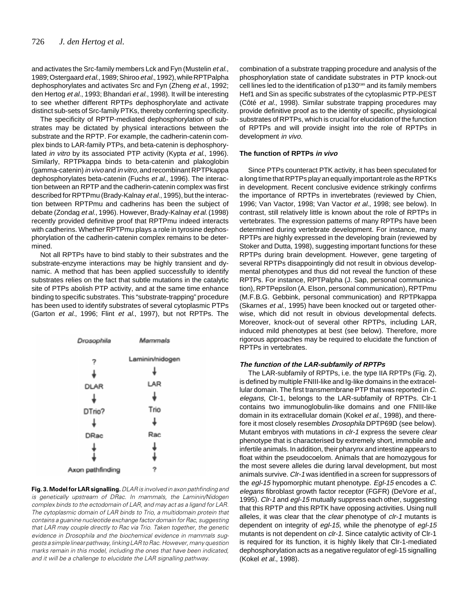and activates the Src-family members Lck and Fyn (Mustelin et al., 1989; Ostergaard et al., 1989; Shiroo et al., 1992), while RPTPalpha dephosphorylates and activates Src and Fyn (Zheng et al., 1992; den Hertog et al., 1993; Bhandari et al., 1998). It will be interesting to see whether different RPTPs dephosphorylate and activate distinct sub-sets of Src-family PTKs, thereby conferring specificity.

The specificity of RPTP-mediated dephosphorylation of substrates may be dictated by physical interactions between the substrate and the RPTP. For example, the cadherin-catenin complex binds to LAR-family PTPs, and beta-catenin is dephosphorylated *in vitro* by its associated PTP activity (Kypta et al., 1996). Similarly, RPTPkappa binds to beta-catenin and plakoglobin (gamma-catenin) in vivo and in vitro, and recombinant RPTPkappa dephosphorylates beta-catenin (Fuchs et al., 1996). The interaction between an RPTP and the cadherin-catenin complex was first described for RPTPmu (Brady-Kalnay et al., 1995), but the interaction between RPTPmu and cadherins has been the subject of debate (Zondag et al., 1996). However, Brady-Kalnay et al. (1998) recently provided definitive proof that RPTPmu indeed interacts with cadherins. Whether RPTPmu plays a role in tyrosine dephosphorylation of the cadherin-catenin complex remains to be determined.

Not all RPTPs have to bind stably to their substrates and the substrate-enzyme interactions may be highly transient and dynamic. A method that has been applied successfully to identify substrates relies on the fact that subtle mutations in the catalytic site of PTPs abolish PTP activity, and at the same time enhance binding to specific substrates. This "substrate-trapping" procedure has been used to identify substrates of several cytoplasmic PTPs (Garton et al., 1996; Flint et al., 1997), but not RPTPs. The



**Fig. 3. Model for LAR signalling.** DLAR is involved in axon pathfinding and is genetically upstream of DRac. In mammals, the Laminin/Nidogen complex binds to the ectodomain of LAR, and may act as a ligand for LAR. The cytoplasmic domain of LAR binds to Trio, a multidomain protein that contains a guanine nucleotide exchange factor domain for Rac, suggesting that LAR may couple directly to Rac via Trio. Taken together, the genetic evidence in Drosophila and the biochemical evidence in mammals suggests a simple linear pathway, linking LAR to Rac. However, many question marks remain in this model, including the ones that have been indicated, and it will be a challenge to elucidate the LAR signalling pathway.

combination of a substrate trapping procedure and analysis of the phosphorylation state of candidate substrates in PTP knock-out cell lines led to the identification of p130<sup>cas</sup> and its family members Hef1 and Sin as specific substrates of the cytoplasmic PTP-PEST (Côté et al., 1998). Similar substrate trapping procedures may provide definitive proof as to the identity of specific, physiological substrates of RPTPs, which is crucial for elucidation of the function of RPTPs and will provide insight into the role of RPTPs in development in vivo.

## **The function of RPTPs in vivo**

Since PTPs counteract PTK activity, it has been speculated for a long time that RPTPs play an equally important role as the RPTKs in development. Recent conclusive evidence strikingly confirms the importance of RPTPs in invertebrates (reviewed by Chien, 1996; Van Vactor, 1998; Van Vactor et al., 1998; see below). In contrast, still relatively little is known about the role of RPTPs in vertebrates. The expression patterns of many RPTPs have been determined during vertebrate development. For instance, many RPTPs are highly expressed in the developing brain (reviewed by Stoker and Dutta, 1998), suggesting important functions for these RPTPs during brain development. However, gene targeting of several RPTPs disappointingly did not result in obvious developmental phenotypes and thus did not reveal the function of these RPTPs. For instance, RPTPalpha (J. Sap, personal communication), RPTPepsilon (A. Elson, personal communication), RPTPmu (M.F.B.G. Gebbink, personal communication) and RPTPkappa (Skarnes et al., 1995) have been knocked out or targeted otherwise, which did not result in obvious developmental defects. Moreover, knock-out of several other RPTPs, including LAR, induced mild phenotypes at best (see below). Therefore, more rigorous approaches may be required to elucidate the function of RPTPs in vertebrates.

# **The function of the LAR-subfamily of RPTPs**

The LAR-subfamily of RPTPs, i.e. the type IIA RPTPs (Fig. 2), is defined by multiple FNIII-like and Ig-like domains in the extracellular domain. The first transmembrane PTP that was reported in C. elegans, Clr-1, belongs to the LAR-subfamily of RPTPs. Clr-1 contains two immunoglobulin-like domains and one FNIII-like domain in its extracellular domain (Kokel et al., 1998), and therefore it most closely resembles Drosophila DPTP69D (see below). Mutant embryos with mutations in clr-1 express the severe clear phenotype that is characterised by extremely short, immobile and infertile animals. In addition, their pharynx and intestine appears to float within the pseudocoelom. Animals that are homozygous for the most severe alleles die during larval development, but most animals survive. Clr-1 was identified in a screen for suppressors of the egl-15 hypomorphic mutant phenotype. Egl-15 encodes a C. elegans fibroblast growth factor receptor (FGFR) (DeVore et al., 1995). Clr-1 and egl-15 mutually suppress each other, suggesting that this RPTP and this RPTK have opposing activities. Using null alleles, it was clear that the *clear* phenotype of *clr-1* mutants is dependent on integrity of egl-15, while the phenotype of egl-15 mutants is not dependent on *clr-1*. Since catalytic activity of Clr-1 is required for its function, it is highly likely that Clr-1-mediated dephosphorylation acts as a negative regulator of egl-15 signalling (Kokel et al., 1998).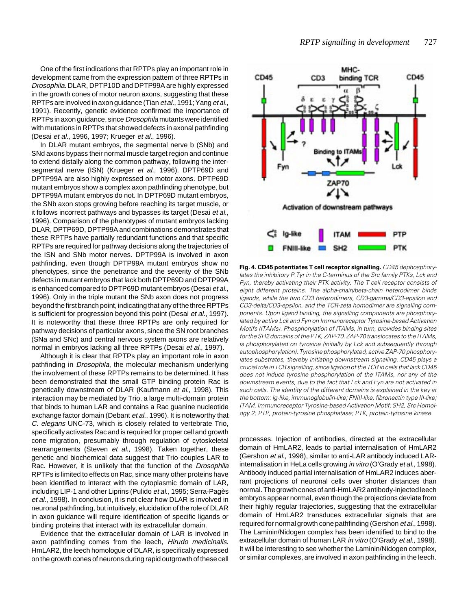One of the first indications that RPTPs play an important role in development came from the expression pattern of three RPTPs in Drosophila. DLAR, DPTP10D and DPTP99A are highly expressed in the growth cones of motor neuron axons, suggesting that these RPTPs are involved in axon guidance (Tian et al., 1991; Yang et al., 1991). Recently, genetic evidence confirmed the importance of RPTPs in axon guidance, since Drosophila mutants were identified with mutations in RPTPs that showed defects in axonal pathfinding (Desai et al., 1996, 1997; Krueger et al., 1996).

In DLAR mutant embryos, the segmental nerve b (SNb) and SNd axons bypass their normal muscle target region and continue to extend distally along the common pathway, following the intersegmental nerve (ISN) (Krueger et al., 1996). DPTP69D and DPTP99A are also highly expressed on motor axons. DPTP69D mutant embryos show a complex axon pathfinding phenotype, but DPTP99A mutant embryos do not. In DPTP69D mutant embryos, the SNb axon stops growing before reaching its target muscle, or it follows incorrect pathways and bypasses its target (Desai et al., 1996). Comparison of the phenotypes of mutant embryos lacking DLAR, DPTP69D, DPTP99A and combinations demonstrates that these RPTPs have partially redundant functions and that specific RPTPs are required for pathway decisions along the trajectories of the ISN and SNb motor nerves. DPTP99A is involved in axon pathfinding, even though DPTP99A mutant embryos show no phenotypes, since the penetrance and the severity of the SNb defects in mutant embryos that lack both DPTP69D and DPTP99A is enhanced compared to DPTP69D mutant embryos (Desai et al., 1996). Only in the triple mutant the SNb axon does not progress beyond the first branch point, indicating that any of the three RPTPs is sufficient for progression beyond this point (Desai et al., 1997). It is noteworthy that these three RPTPs are only required for pathway decisions of particular axons, since the SN root branches (SNa and SNc) and central nervous system axons are relatively normal in embryos lacking all three RPTPs (Desai et al., 1997).

Although it is clear that RPTPs play an important role in axon pathfinding in *Drosophila*, the molecular mechanism underlying the involvement of these RPTPs remains to be determined. It has been demonstrated that the small GTP binding protein Rac is genetically downstream of DLAR (Kaufmann et al., 1998). This interaction may be mediated by Trio, a large multi-domain protein that binds to human LAR and contains a Rac guanine nucleotide exchange factor domain (Debant et al., 1996). It is noteworthy that C. elegans UNC-73, which is closely related to vertebrate Trio, specifically activates Rac and is required for proper cell and growth cone migration, presumably through regulation of cytoskeletal rearrangements (Steven et al., 1998). Taken together, these genetic and biochemical data suggest that Trio couples LAR to Rac. However, it is unlikely that the function of the Drosophila RPTPs is limited to effects on Rac, since many other proteins have been identified to interact with the cytoplasmic domain of LAR, including LIP-1 and other Liprins (Pulido et al., 1995; Serra-Pagès et al., 1998). In conclusion, it is not clear how DLAR is involved in neuronal pathfinding, but intuitively, elucidation of the role of DLAR in axon guidance will require identification of specific ligands or binding proteins that interact with its extracellular domain.

Evidence that the extracellular domain of LAR is involved in axon pathfinding comes from the leech, Hirudo medicinalis. HmLAR2, the leech homologue of DLAR, is specifically expressed on the growth cones of neurons during rapid outgrowth of these cell



**Fig. 4. CD45 potentiates T cell receptor signalling.** CD45 dephosphorylates the inhibitory P.Tyr in the C-terminus of the Src family PTKs, Lck and Fyn, thereby activating their PTK activity. The T cell receptor consists of eight different proteins. The alpha-chain/beta-chain heterodimer binds ligands, while the two CD3 heterodimers, CD3-gamma/CD3-epsilon and CD3-delta/CD3-epsilon, and the TCR-zeta homodimer are signalling components. Upon ligand binding, the signalling components are phosphorylated by active Lck and Fyn on Immunoreceptor Tyrosine-based Activation Motifs (ITAMs). Phosphorylation of ITAMs, in turn, provides binding sites for the SH2 domains of the PTK, ZAP-70. ZAP-70 translocates to the ITAMs, is phosphorylated on tyrosine (initially by Lck and subsequently through autophosphorylation). Tyrosine phosphorylated, active ZAP-70 phosphorylates substrates, thereby initiating downstream signalling. CD45 plays a crucial role in TCR signalling, since ligation of the TCR in cells that lack CD45 does not induce tyrosine phosphorylation of the ITAMs, nor any of the downstream events, due to the fact that Lck and Fyn are not activated in such cells. The identity of the different domains is explained in the key at the bottom: Ig-like, immunoglobulin-like; FNIII-like, fibronectin type III-like; ITAM, Immunoreceptor Tyrosine-based Activation Motif; SH2, Src Homology 2; PTP, protein-tyrosine phosphatase; PTK, protein-tyrosine kinase.

processes. Injection of antibodies, directed at the extracellular domain of HmLAR2, leads to partial internalisation of HmLAR2 (Gershon et al., 1998), similar to anti-LAR antibody induced LARinternalisation in HeLa cells growing in vitro (O'Grady et al., 1998). Antibody induced partial internalisation of HmLAR2 induces aberrant projections of neuronal cells over shorter distances than normal. The growth cones of anti-HmLAR2 antibody-injected leech embryos appear normal, even though the projections deviate from their highly regular trajectories, suggesting that the extracellular domain of HmLAR2 transduces extracellular signals that are required for normal growth cone pathfinding (Gershon et al., 1998). The Laminin/Nidogen complex has been identified to bind to the extracellular domain of human LAR in vitro (O'Grady et al., 1998). It will be interesting to see whether the Laminin/Nidogen complex, or similar complexes, are involved in axon pathfinding in the leech.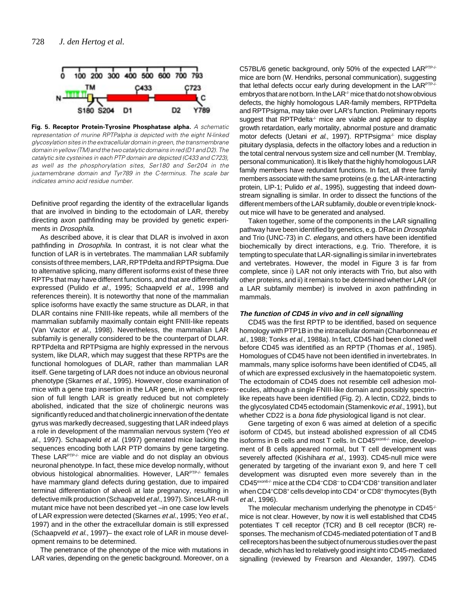

**Fig. 5. Receptor Protein-Tyrosine Phosphatase alpha.** A schematic representation of murine RPTPalpha is depicted with the eight N-linked glycosylation sites in the extracellular domain in green, the transmembrane domain in yellow (TM) and the two catalytic domains in red (D1 and D2). The catalytic site cysteines in each PTP domain are depicted (C433 and C723), as well as the phosphorylation sites, Ser180 and Ser204 in the juxtamembrane domain and Tyr789 in the C-terminus. The scale bar indicates amino acid residue number.

Definitive proof regarding the identity of the extracellular ligands that are involved in binding to the ectodomain of LAR, thereby directing axon pathfinding may be provided by genetic experiments in Drosophila.

As described above, it is clear that DLAR is involved in axon pathfinding in Drosophila. In contrast, it is not clear what the function of LAR is in vertebrates. The mammalian LAR subfamily consists of three members, LAR, RPTPdelta and RPTPsigma. Due to alternative splicing, many different isoforms exist of these three RPTPs that may have different functions, and that are differentially expressed (Pulido et al., 1995; Schaapveld et al., 1998 and references therein). It is noteworthy that none of the mammalian splice isoforms have exactly the same structure as DLAR, in that DLAR contains nine FNIII-like repeats, while all members of the mammalian subfamily maximally contain eight FNIII-like repeats (Van Vactor et al., 1998). Nevertheless, the mammalian LAR subfamily is generally considered to be the counterpart of DLAR. RPTPdelta and RPTPsigma are highly expressed in the nervous system, like DLAR, which may suggest that these RPTPs are the functional homologues of DLAR, rather than mammalian LAR itself. Gene targeting of LAR does not induce an obvious neuronal phenotype (Skarnes et al., 1995). However, close examination of mice with a gene trap insertion in the LAR gene, in which expression of full length LAR is greatly reduced but not completely abolished, indicated that the size of cholinergic neurons was significantly reduced and that cholinergic innervation of the dentate gyrus was markedly decreased, suggesting that LAR indeed plays a role in development of the mammalian nervous system (Yeo et al., 1997). Schaapveld et al. (1997) generated mice lacking the sequences encoding both LAR PTP domains by gene targeting. These LARPTP-/- mice are viable and do not display an obvious neuronal phenotype. In fact, these mice develop normally, without obvious histological abnormalities. However, LAR<sup>PTP-/-</sup> females have mammary gland defects during gestation, due to impaired terminal differentiation of alveoli at late pregnancy, resulting in defective milk production (Schaapveld et al., 1997). Since LAR-null mutant mice have not been described yet –in one case low levels of LAR expression were detected (Skarnes et al., 1995; Yeo et al., 1997) and in the other the extracellular domain is still expressed (Schaapveld et al., 1997)– the exact role of LAR in mouse development remains to be determined.

The penetrance of the phenotype of the mice with mutations in LAR varies, depending on the genetic background. Moreover, on a C57BL/6 genetic background, only 50% of the expected LARPTP-/mice are born (W. Hendriks, personal communication), suggesting that lethal defects occur early during development in the LARPTP-/embryos that are not born. In the LAR $\dot{\tau}$  mice that do not show obvious defects, the highly homologous LAR-family members, RPTPdelta and RPTPsigma, may take over LAR's function. Preliminary reports suggest that RPTPdelta $\div$  mice are viable and appear to display growth retardation, early mortality, abnormal posture and dramatic motor defects (Uetani et al., 1997). RPTPsigma<sup>-/-</sup> mice display pituitary dysplasia, defects in the olfactory lobes and a reduction in the total central nervous system size and cell number (M. Tremblay, personal communication). It is likely that the highly homologous LAR family members have redundant functions. In fact, all three family members associate with the same proteins (e.g. the LAR-interacting protein, LIP-1; Pulido et al., 1995), suggesting that indeed downstream signalling is similar. In order to dissect the functions of the different members of the LAR subfamily, double or even triple knockout mice will have to be generated and analysed.

Taken together, some of the components in the LAR signalling pathway have been identified by genetics, e.g. DRac in Drosophila and Trio (UNC-73) in C. elegans, and others have been identified biochemically by direct interactions, e.g. Trio. Therefore, it is tempting to speculate that LAR-signalling is similar in invertebrates and vertebrates. However, the model in Figure 3 is far from complete, since i) LAR not only interacts with Trio, but also with other proteins, and ii) it remains to be determined whether LAR (or a LAR subfamily member) is involved in axon pathfinding in mammals.

#### **The function of CD45 in vivo and in cell signalling**

CD45 was the first RPTP to be identified, based on sequence homology with PTP1B in the intracellular domain (Charbonneau et al., 1988; Tonks et al., 1988a). In fact, CD45 had been cloned well before CD45 was identified as an RPTP (Thomas et al., 1985). Homologues of CD45 have not been identified in invertebrates. In mammals, many splice isoforms have been identified of CD45, all of which are expressed exclusively in the haematopoietic system. The ectodomain of CD45 does not resemble cell adhesion molecules, although a single FNIII-like domain and possibly spectrinlike repeats have been identified (Fig. 2). A lectin, CD22, binds to the glycosylated CD45 ectodomain (Stamenkovic et al., 1991), but whether CD22 is a bona fide physiological ligand is not clear.

Gene targeting of exon 6 was aimed at deletion of a specific isoform of CD45, but instead abolished expression of all CD45 isoforms in B cells and most T cells. In CD45<sup>exon6-/-</sup> mice, development of B cells appeared normal, but T cell development was severely affected (Kishihara et al., 1993). CD45-null mice were generated by targeting of the invariant exon 9, and here T cell development was disrupted even more severely than in the CD45exon6-/- mice at the CD4–CD8– to CD4+CD8+ transition and later when CD4+CD8+ cells develop into CD4+ or CD8+ thymocytes (Byth et al., 1996).

The molecular mechanism underlying the phenotype in CD45<sup>-/-</sup> mice is not clear. However, by now it is well established that CD45 potentiates T cell receptor (TCR) and B cell receptor (BCR) responses. The mechanism of CD45-mediated potentiation of T and B cell receptors has been the subject of numerous studies over the past decade, which has led to relatively good insight into CD45-mediated signalling (reviewed by Frearson and Alexander, 1997). CD45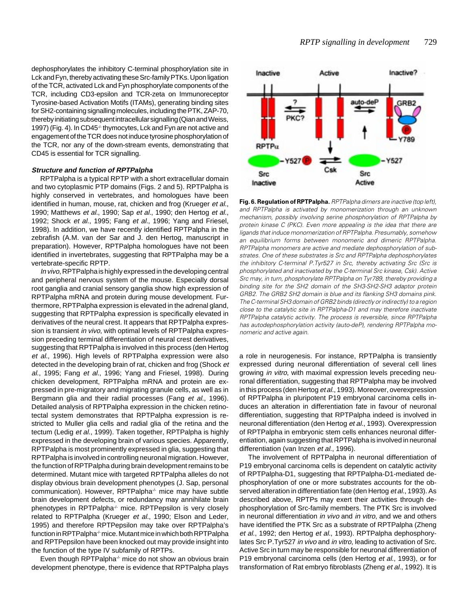dephosphorylates the inhibitory C-terminal phosphorylation site in Lck and Fyn, thereby activating these Src-family PTKs. Upon ligation of the TCR, activated Lck and Fyn phosphorylate components of the TCR, including CD3-epsilon and TCR-zeta on Immunoreceptor Tyrosine-based Activation Motifs (ITAMs), generating binding sites for SH2-containing signalling molecules, including the PTK, ZAP-70, thereby initiating subsequent intracellular signalling (Qian and Weiss, 1997) (Fig. 4). In CD45<sup>-/-</sup> thymocytes, Lck and Fyn are not active and engagement of the TCR does not induce tyrosine phosphorylation of the TCR, nor any of the down-stream events, demonstrating that CD45 is essential for TCR signalling.

#### **Structure and function of RPTPalpha**

RPTPalpha is a typical RPTP with a short extracellular domain and two cytoplasmic PTP domains (Figs. 2 and 5). RPTPalpha is highly conserved in vertebrates, and homologues have been identified in human, mouse, rat, chicken and frog (Krueger et al., 1990; Matthews et al., 1990; Sap et al., 1990; den Hertog et al., 1992; Shock et al., 1995; Fang et al., 1996; Yang and Friesel, 1998). In addition, we have recently identified RPTPalpha in the zebrafish (A.M. van der Sar and J. den Hertog, manuscript in preparation). However, RPTPalpha homologues have not been identified in invertebrates, suggesting that RPTPalpha may be a vertebrate-specific RPTP.

In vivo, RPTPalpha is highly expressed in the developing central and peripheral nervous system of the mouse. Especially dorsal root ganglia and cranial sensory ganglia show high expression of RPTPalpha mRNA and protein during mouse development. Furthermore, RPTPalpha expression is elevated in the adrenal gland, suggesting that RPTPalpha expression is specifically elevated in derivatives of the neural crest. It appears that RPTPalpha expression is transient in vivo, with optimal levels of RPTPalpha expression preceding terminal differentiation of neural crest derivatives, suggesting that RPTPalpha is involved in this process (den Hertog et al., 1996). High levels of RPTPalpha expression were also detected in the developing brain of rat, chicken and frog (Shock et al., 1995; Fang et al., 1996; Yang and Friesel, 1998). During chicken development, RPTPalpha mRNA and protein are expressed in pre-migratory and migrating granule cells, as well as in Bergmann glia and their radial processes (Fang et al., 1996). Detailed analysis of RPTPalpha expression in the chicken retinotectal system demonstrates that RPTPalpha expression is restricted to Muller glia cells and radial glia of the retina and the tectum (Ledig et al., 1999). Taken together, RPTPalpha is highly expressed in the developing brain of various species. Apparently, RPTPalpha is most prominently expressed in glia, suggesting that RPTPalpha is involved in controlling neuronal migration. However, the function of RPTPalpha during brain development remains to be determined. Mutant mice with targeted RPTPalpha alleles do not display obvious brain development phenotypes (J. Sap, personal communication). However, RPTPalpha<sup>-/-</sup> mice may have subtle brain development defects, or redundancy may annihilate brain phenotypes in RPTPalpha<sup>+</sup> mice. RPTPepsilon is very closely related to RPTPalpha (Krueger et al., 1990; Elson and Leder, 1995) and therefore RPTPepsilon may take over RPTPalpha's function in RPTPalpha-/- mice. Mutant mice in which both RPTPalpha and RPTPepsilon have been knocked out may provide insight into the function of the type IV subfamily of RPTPs.

Even though RPTPalpha $\cdot$  mice do not show an obvious brain development phenotype, there is evidence that RPTPalpha plays



**Fig. 6. Regulation of RPTPalpha.**RPTPalpha dimers are inactive (top left), and RPTPalpha is activated by monomerization through an unknown mechanism, possibly involving serine phosphorylation of RPTPalpha by protein kinase C (PKC). Even more appealing is the idea that there are ligands that induce monomerization of RPTPalpha. Presumably, somehow an equilibrium forms between monomeric and dimeric RPTPalpha. RPTPalpha monomers are active and mediate dephosphorylation of substrates. One of these substrates is Src and RPTPalpha dephosphorylates the inhibitory C-terminal P.Tyr527 in Src, thereby activating Src (Src is phosphorylated and inactivated by the C-terminal Src kinase, Csk). Active Src may, in turn, phosphorylate RPTPalpha on Tyr789, thereby providing a binding site for the SH2 domain of the SH3-SH2-SH3 adaptor protein GRB2. The GRB2 SH2 domain is blue and its flanking SH3 domains pink. The C-terminal SH3 domain of GRB2 binds (directly or indirectly) to a region close to the catalytic site in RPTPalpha-D1 and may therefore inactivate RPTPalpha catalytic activity. The process is reversible, since RPTPalpha has autodephosphorylation activity (auto-deP), rendering RPTPalpha monomeric and active again.

a role in neurogenesis. For instance, RPTPalpha is transiently expressed during neuronal differentiation of several cell lines growing in vitro, with maximal expression levels preceding neuronal differentiation, suggesting that RPTPalpha may be involved in this process (den Hertog et al., 1993). Moreover, overexpression of RPTPalpha in pluripotent P19 embryonal carcinoma cells induces an alteration in differentiation fate in favour of neuronal differentiation, suggesting that RPTPalpha indeed is involved in neuronal differentiation (den Hertog et al., 1993). Overexpression of RPTPalpha in embryonic stem cells enhances neuronal differentiation, again suggesting that RPTPalpha is involved in neuronal differentiation (van Inzen et al., 1996).

The involvement of RPTPalpha in neuronal differentiation of P19 embryonal carcinoma cells is dependent on catalytic activity of RPTPalpha-D1, suggesting that RPTPalpha-D1-mediated dephosphorylation of one or more substrates accounts for the observed alteration in differentiation fate (den Hertog et al., 1993). As described above, RPTPs may exert their activities through dephosphorylation of Src-family members. The PTK Src is involved in neuronal differentiation *in vivo* and *in vitro*, and we and others have identified the PTK Src as a substrate of RPTPalpha (Zheng et al., 1992; den Hertog et al., 1993). RPTPalpha dephosphorylates Src P.Tyr527 in vivo and in vitro, leading to activation of Src. Active Src in turn may be responsible for neuronal differentiation of P19 embryonal carcinoma cells (den Hertog et al., 1993), or for transformation of Rat embryo fibroblasts (Zheng et al., 1992). It is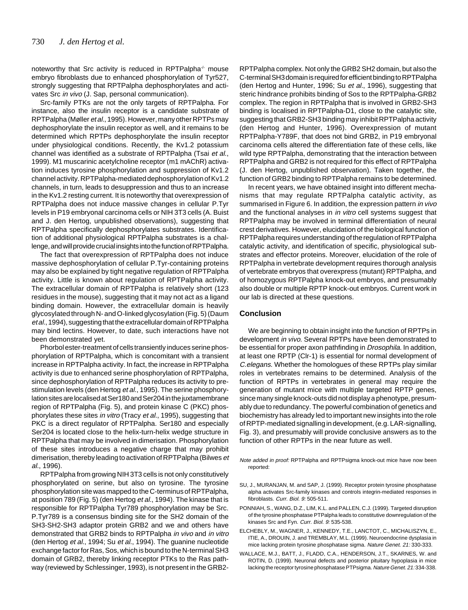noteworthy that Src activity is reduced in RPTPalpha $+$  mouse embryo fibroblasts due to enhanced phosphorylation of Tyr527, strongly suggesting that RPTPalpha dephosphorylates and activates Src in vivo (J. Sap, personal communication).

Src-family PTKs are not the only targets of RPTPalpha. For instance, also the insulin receptor is a candidate substrate of RPTPalpha (Møller et al., 1995). However, many other RPTPs may dephosphorylate the insulin receptor as well, and it remains to be determined which RPTPs dephosphorylate the insulin receptor under physiological conditions. Recently, the Kv1.2 potassium channel was identified as a substrate of RPTPalpha (Tsai et al., 1999). M1 muscarinic acetylcholine receptor (m1 mAChR) activation induces tyrosine phosphorylation and suppression of Kv1.2 channel activity. RPTPalpha-mediated dephosphorylation of Kv1.2 channels, in turn, leads to desuppression and thus to an increase in the Kv1.2 resting current. It is noteworthy that overexpression of RPTPalpha does not induce massive changes in cellular P.Tyr levels in P19 embryonal carcinoma cells or NIH 3T3 cells (A. Buist and J. den Hertog, unpublished observations), suggesting that RPTPalpha specifically dephosphorylates substrates. Identification of additional physiological RPTPalpha substrates is a challenge, and will provide crucial insights into the function of RPTPalpha.

The fact that overexpression of RPTPalpha does not induce massive dephosphorylation of cellular P.Tyr-containing proteins may also be explained by tight negative regulation of RPTPalpha activity. Little is known about regulation of RPTPalpha activity. The extracellular domain of RPTPalpha is relatively short (123 residues in the mouse), suggesting that it may not act as a ligand binding domain. However, the extracellular domain is heavily glycosylated through N- and O-linked glycosylation (Fig. 5) (Daum et al., 1994), suggesting that the extracellular domain of RPTPalpha may bind lectins. However, to date, such interactions have not been demonstrated yet.

Phorbol ester-treatment of cells transiently induces serine phosphorylation of RPTPalpha, which is concomitant with a transient increase in RPTPalpha activity. In fact, the increase in RPTPalpha activity is due to enhanced serine phosphorylation of RPTPalpha, since dephosphorylation of RPTPalpha reduces its activity to prestimulation levels (den Hertog et al., 1995). The serine phosphorylation sites are localised at Ser180 and Ser204 in the juxtamembrane region of RPTPalpha (Fig. 5), and protein kinase C (PKC) phosphorylates these sites in vitro (Tracy et al., 1995), suggesting that PKC is a direct regulator of RPTPalpha. Ser180 and especially Ser204 is located close to the helix-turn-helix wedge structure in RPTPalpha that may be involved in dimerisation. Phosphorylation of these sites introduces a negative charge that may prohibit dimerisation, thereby leading to activation of RPTPalpha (Bilwes et al., 1996).

RPTPalpha from growing NIH 3T3 cells is not only constitutively phosphorylated on serine, but also on tyrosine. The tyrosine phosphorylation site was mapped to the C-terminus of RPTPalpha, at position 789 (Fig. 5) (den Hertog et al., 1994). The kinase that is responsible for RPTPalpha Tyr789 phosphorylation may be Src. P.Tyr789 is a consensus binding site for the SH2 domain of the SH3-SH2-SH3 adaptor protein GRB2 and we and others have demonstrated that GRB2 binds to RPTPalpha in vivo and in vitro (den Hertog et al., 1994; Su et al., 1994). The guanine nucleotide exchange factor for Ras, Sos, which is bound to the N-terminal SH3 domain of GRB2, thereby linking receptor PTKs to the Ras pathway (reviewed by Schlessinger, 1993), is not present in the GRB2-

RPTPalpha complex. Not only the GRB2 SH2 domain, but also the C-terminal SH3 domain is required for efficient binding to RPTPalpha (den Hertog and Hunter, 1996; Su et al., 1996), suggesting that steric hindrance prohibits binding of Sos to the RPTPalpha-GRB2 complex. The region in RPTPalpha that is involved in GRB2-SH3 binding is localised in RPTPalpha-D1, close to the catalytic site, suggesting that GRB2-SH3 binding may inhibit RPTPalpha activity (den Hertog and Hunter, 1996). Overexpression of mutant RPTPalpha-Y789F, that does not bind GRB2, in P19 embryonal carcinoma cells altered the differentiation fate of these cells, like wild type RPTPalpha, demonstrating that the interaction between RPTPalpha and GRB2 is not required for this effect of RPTPalpha (J. den Hertog, unpublished observation). Taken together, the function of GRB2 binding to RPTPalpha remains to be determined.

In recent years, we have obtained insight into different mechanisms that may regulate RPTPalpha catalytic activity, as summarised in Figure 6. In addition, the expression pattern in vivo and the functional analyses in in vitro cell systems suggest that RPTPalpha may be involved in terminal differentiation of neural crest derivatives. However, elucidation of the biological function of RPTPalpha requires understanding of the regulation of RPTPalpha catalytic activity, and identification of specific, physiological substrates and effector proteins. Moreover, elucidation of the role of RPTPalpha in vertebrate development requires thorough analysis of vertebrate embryos that overexpress (mutant) RPTPalpha, and of homozygous RPTPalpha knock-out embryos, and presumably also double or multiple RPTP knock-out embryos. Current work in our lab is directed at these questions.

## **Conclusion**

We are beginning to obtain insight into the function of RPTPs in development *in vivo*. Several RPTPs have been demonstrated to be essential for proper axon pathfinding in Drosophila. In addition, at least one RPTP (Clr-1) is essential for normal development of C.elegans. Whether the homologues of these RPTPs play similar roles in vertebrates remains to be determined. Analysis of the function of RPTPs in vertebrates in general may require the generation of mutant mice with multiple targeted RPTP genes, since many single knock-outs did not display a phenotype, presumably due to redundancy. The powerful combination of genetics and biochemistry has already led to important new insights into the role of RPTP-mediated signalling in development, (e.g. LAR-signalling, Fig. 3), and presumably will provide conclusive answers as to the function of other RPTPs in the near future as well.

- Note added in proof: RPTPalpha and RPTPsigma knock-out mice have now been reported:
- SU, J., MURANJAN, M. and SAP, J. (1999). Receptor protein tyrosine phosphatase alpha activates Src-family kinases and controls integrin-mediated responses in fibroblasts. Curr. Biol. 9: 505-511.
- PONNIAH, S., WANG, D.Z., LIM, K.L. and PALLEN, C.J. (1999). Targeted disruption of the tyrosine phosphatase PTPalpha leads to constitutive downregulation of the kinases Src and Fyn. Curr. Biol. 9: 535-538.
- ELCHEBLY, M., WAGNER, J., KENNEDY, T.E., LANCTOT, C., MICHALISZYN, E., ITIE, A., DROUIN, J. and TREMBLAY, M.L. (1999). Neuroendocrine dysplasia in mice lacking protein tyrosine phosphatase sigma. Nature Genet. 21: 330-333.
- WALLACE, M.J., BATT, J., FLADD, C.A., HENDERSON, J.T., SKARNES, W. and ROTIN, D. (1999). Neuronal defects and posterior pituitary hypoplasia in mice lacking the receptor tyrosine phosphatase PTPsigma. Nature Genet. 21:334-338.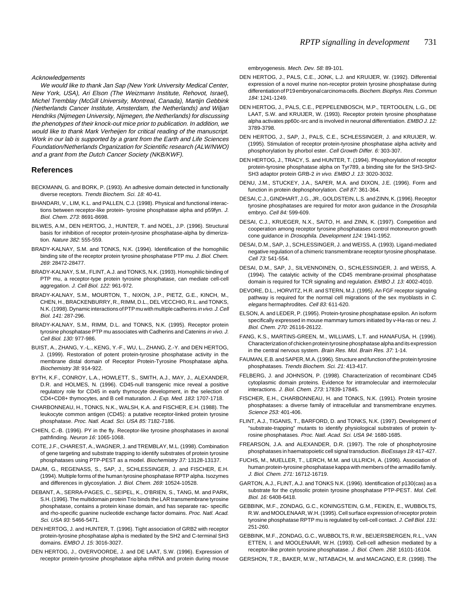#### **Acknowledgements**

We would like to thank Jan Sap (New York University Medical Center, New York, USA), Ari Elson (The Weizmann Institute, Rehovot, Israel), Michel Tremblay (McGill University, Montreal, Canada), Martijn Gebbink (Netherlands Cancer Institute, Amsterdam, the Netherlands) and Wiljan Hendriks (Nijmegen University, Nijmegen, the Netherlands) for discussing the phenotypes of their knock-out mice prior to publication. In addition, we would like to thank Mark Verheijen for critical reading of the manuscript. Work in our lab is supported by a grant from the Earth and Life Sciences Foundation/Netherlands Organization for Scientific research (ALW/NWO) and a grant from the Dutch Cancer Society (NKB/KWF).

## **References**

- BECKMANN, G. and BORK, P. (1993). An adhesive domain detected in functionally diverse receptors. Trends Biochem. Sci. 18: 40-41.
- BHANDARI, V., LIM, K.L. and PALLEN, C.J. (1998). Physical and functional interactions between receptor-like protein- tyrosine phosphatase alpha and p59fyn. J. Biol. Chem. 273: 8691-8698.
- BILWES, A.M., DEN HERTOG, J., HUNTER, T. and NOEL, J.P. (1996). Structural basis for inhibition of receptor protein-tyrosine phosphatase-alpha by dimerization. Nature 382: 555-559.
- BRADY-KALNAY, S.M. and TONKS, N.K. (1994). Identification of the homophilic binding site of the receptor protein tyrosine phosphatase PTP mu. J. Biol. Chem. 269: 28472-28477.
- BRADY-KALNAY, S.M., FLINT, A.J. and TONKS, N.K. (1993). Homophilic binding of PTP mu, a receptor-type protein tyrosine phosphatase, can mediate cell-cell aggregation. J. Cell Biol. 122: 961-972.
- BRADY-KALNAY, S.M., MOURTON, T., NIXON, J.P., PIETZ, G.E., KINCH, M., CHEN, H., BRACKENBURRY, R., RIMM, D.L., DEL VECCHIO, R.L. and TONKS, N.K. (1998). Dynamic interactions of PTP mu with multiple cadherins in vivo. J. Cell Biol. 141: 287-296.
- BRADY-KALNAY, S.M., RIMM, D.L. and TONKS, N.K. (1995). Receptor protein tyrosine phosphatase PTP mu associates with Cadherins and Catenins in vivo. J. Cell Biol. 130: 977-986.
- BUIST, A., ZHANG, Y.-L., KENG, Y.-F., WU, L., ZHANG, Z.-Y. and DEN HERTOG, J. (1999). Restoration of potent protein-tyrosine phosphatase activity in the membrane distal domain of Receptor Protein-Tyrosine Phosphatase alpha. Biochemistry 38: 914-922.
- BYTH, K.F., CONROY, L.A., HOWLETT, S., SMITH, A.J., MAY, J., ALEXANDER, D.R. and HOLMES, N. (1996). CD45-null transgenic mice reveal a positive regulatory role for CD45 in early thymocyte development, in the selection of CD4+CD8+ thymocytes, and B cell maturation. J. Exp. Med. 183: 1707-1718.
- CHARBONNEAU, H., TONKS, N.K., WALSH, K.A. and FISCHER, E.H. (1988). The leukocyte common antigen (CD45): a putative receptor-linked protein tyrosine phosphatase. Proc. Natl. Acad. Sci. USA 85: 7182-7186.
- CHIEN, C.-B. (1996). PY in the fly. Receptor-like tyrosine phosphatases in axonal pathfinding. Neuron 16: 1065-1068.
- COTE, J.F., CHAREST, A., WAGNER, J. and TREMBLAY, M.L. (1998). Combination of gene targeting and substrate trapping to identify substrates of protein tyrosine phosphatases using PTP-PEST as a model. Biochemistry 37: 13128-13137.
- DAUM, G., REGENASS, S., SAP, J., SCHLESSINGER, J. and FISCHER, E.H. (1994). Multiple forms of the human tyrosine phosphatase RPTP alpha. Isozymes and differences in glycosylation. J. Biol. Chem. 269: 10524-10528.
- DEBANT, A., SERRA-PAGES, C., SEIPEL, K., O'BRIEN, S., TANG, M. and PARK, S.H. (1996). The multidomain protein Trio binds the LAR transmembrane tyrosine phosphatase, contains a protein kinase domain, and has separate rac- specific and rho-specific guanine nucleotide exchange factor domains. Proc. Natl. Acad. Sci. USA 93: 5466-5471.
- DEN HERTOG, J. and HUNTER, T. (1996). Tight association of GRB2 with receptor protein-tyrosine phosphatase alpha is mediated by the SH2 and C-terminal SH3 domains. EMBO J. 15: 3016-3027.
- DEN HERTOG, J., OVERVOORDE, J. and DE LAAT, S.W. (1996). Expression of receptor protein-tyrosine phosphatase alpha mRNA and protein during mouse

embryogenesis. Mech. Dev. 58: 89-101.

- DEN HERTOG, J., PALS, C.E., JONK, L.J. and KRUIJER, W. (1992). Differential expression of a novel murine non-receptor protein tyrosine phosphatase during differentiation of P19 embryonal carcinoma cells. Biochem. Biophys. Res. Commun 184: 1241-1249.
- DEN HERTOG, J., PALS, C.E., PEPPELENBOSCH, M.P., TERTOOLEN, L.G., DE LAAT, S.W. and KRUIJER, W. (1993). Receptor protein tyrosine phosphatase alpha activates pp60c-src and is involved in neuronal differentiation. EMBO J. 12: 3789-3798.
- DEN HERTOG, J., SAP, J., PALS, C.E., SCHLESSINGER, J. and KRUIJER, W. (1995). Stimulation of receptor protein-tyrosine phosphatase alpha activity and phosphorylation by phorbol ester. Cell Growth Differ. 6: 303-307.
- DEN HERTOG, J., TRACY, S. and HUNTER, T. (1994). Phosphorylation of receptor protein-tyrosine phosphatase alpha on Tyr789, a binding site for the SH3-SH2- SH3 adaptor protein GRB-2 in vivo. EMBO J. 13: 3020-3032.
- DENU, J.M., STUCKEY, J.A., SAPER, M.A. and DIXON, J.E. (1996). Form and function in protein dephosphorylation. Cell 87: 361-364.
- DESAI, C.J., GINDHART, J.G., JR., GOLDSTEIN, L.S. and ZINN, K. (1996). Receptor tyrosine phosphatases are required for motor axon guidance in the Drosophila embryo. Cell 84: 599-609.
- DESAI, C.J., KRUEGER, N.X., SAITO, H. and ZINN, K. (1997). Competition and cooperation among receptor tyrosine phosphatases control motoneuron growth cone guidance in Drosophila. Development 124: 1941-1952.
- DESAI, D.M., SAP, J., SCHLESSINGER, J. and WEISS, A. (1993). Ligand-mediated negative regulation of a chimeric transmembrane receptor tyrosine phosphatase. Cell 73: 541-554.
- DESAI, D.M., SAP, J., SILVENNOINEN, O., SCHLESSINGER, J. and WEISS, A. (1994). The catalytic activity of the CD45 membrane-proximal phosphatase domain is required for TCR signaling and regulation. EMBO J. 13: 4002-4010.
- DEVORE, D.L., HORVITZ, H.R. and STERN, M.J. (1995). An FGF receptor signaling pathway is required for the normal cell migrations of the sex myoblasts in C. elegans hermaphrodites. Cell 83: 611-620.
- ELSON, A. and LEDER, P. (1995). Protein-tyrosine phosphatase epsilon. An isoform specifically expressed in mouse mammary tumors initiated by v-Ha-ras or neu. J. Biol. Chem. 270: 26116-26122.
- FANG, K.S., MARTINS-GREEN, M., WILLIAMS, L.T. and HANAFUSA, H. (1996). Characterization of chicken protein tyrosine phosphatase alpha and its expression in the central nervous system. Brain Res. Mol. Brain Res. 37: 1-14.
- FAUMAN, E.B. and SAPER, M.A. (1996). Structure and function of the protein tyrosine phosphatases. Trends Biochem. Sci. 21: 413-417.
- FELBERG, J. and JOHNSON, P. (1998). Characterization of recombinant CD45 cytoplasmic domain proteins. Evidence for intramolecular and intermolecular interactions. J. Biol. Chem. 273: 17839-17845.
- FISCHER, E.H., CHARBONNEAU, H. and TONKS, N.K. (1991). Protein tyrosine phosphatases: a diverse family of intracellular and transmembrane enzymes. Science 253: 401-406.
- FLINT, A.J., TIGANIS, T., BARFORD, D. and TONKS, N.K. (1997). Development of "substrate-trapping" mutants to identify physiological substrates of protein tyrosine phosphatases. Proc. Natl. Acad. Sci. USA 94: 1680-1685.
- FREARSON, J.A. and ALEXANDER, D.R. (1997). The role of phosphotyrosine phosphatases in haematopoietic cell signal transduction. BioEssays 19: 417-427.
- FUCHS, M., MUELLER, T., LERCH, M.M. and ULLRICH, A. (1996). Association of human protein-tyrosine phosphatase kappa with members of the armadillo family. J. Biol. Chem. 271: 16712-16719.
- GARTON, A.J., FLINT, A.J. and TONKS N.K. (1996). Identification of p130(cas) as a substrate for the cytosolic protein tyrosine phosphatase PTP-PEST. Mol. Cell. Biol. 16: 6408-6418.
- GEBBINK, M.F., ZONDAG, G.C., KONINGSTEIN, G.M., FEIKEN, E., WUBBOLTS, R.W. and MOOLENAAR, W.H. (1995). Cell surface expression of receptor protein tyrosine phosphatase RPTP mu is regulated by cell-cell contact. J. Cell Biol. 131: 251-260.
- GEBBINK, M.F., ZONDAG, G.C., WUBBOLTS, R.W., BEIJERSBERGEN, R.L., VAN ETTEN, I. and MOOLENAAR, W.H. (1993). Cell-cell adhesion mediated by a receptor-like protein tyrosine phosphatase. J. Biol. Chem. 268: 16101-16104.
- GERSHON, T.R., BAKER, M.W., NITABACH, M. and MACAGNO, E.R. (1998). The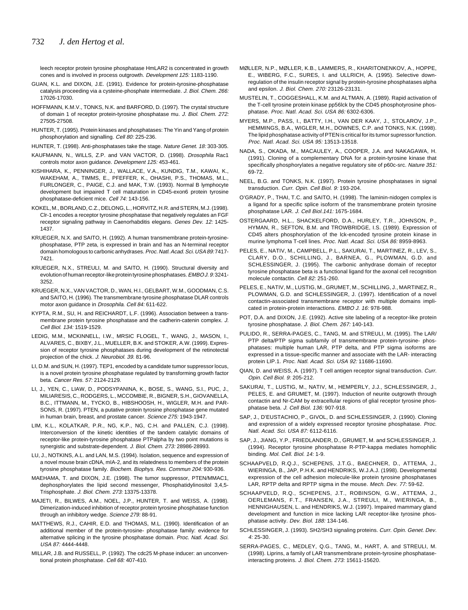leech receptor protein tyrosine phosphatase HmLAR2 is concentrated in growth cones and is involved in process outgrowth. Development 125: 1183-1190.

- GUAN, K.L. and DIXON, J.E. (1991). Evidence for protein-tyrosine-phosphatase catalysis proceeding via a cysteine-phosphate intermediate. J. Biol. Chem. 266: 17026-17030.
- HOFFMANN, K.M.V., TONKS, N.K. and BARFORD, D. (1997). The crystal structure of domain 1 of receptor protein-tyrosine phosphatase mu. J. Biol. Chem. 272: 27505-27508.
- HUNTER, T. (1995). Protein kinases and phosphatases: The Yin and Yang of protein phosphorylation and signalling. Cell 80: 225-236.
- HUNTER, T. (1998). Anti-phosphatases take the stage. Nature Genet. 18: 303-305.
- KAUFMANN, N., WILLS, Z.P. and VAN VACTOR, D. (1998). Drosophila Rac1 controls motor axon guidance. Development 125: 453-461.
- KISHIHARA, K., PENNINGER, J., WALLACE, V.A., KUNDIG, T.M., KAWAI, K., WAKEHAM, A., TIMMS, E., PFEFFER, K., OHASHI, P.S., THOMAS, M.L., FURLONGER, C., PAIGE, C.J. and MAK, T.W. (1993). Normal B lymphocyte development but impaired T cell maturation in CD45-exon6 protein tyrosine phosphatase-deficient mice. Cell 74: 143-156.
- KOKEL, M., BORLAND, C.Z., DELONG, L., HORVITZ, H.R. and STERN, M.J. (1998). Clr-1 encodes a receptor tyrosine phosphatase that negatively regulates an FGF receptor signaling pathway in Caenorhabditis elegans. Genes Dev. 12: 1425- 1437.
- KRUEGER, N.X. and SAITO, H. (1992). A human transmembrane protein-tyrosinephosphatase, PTP zeta, is expressed in brain and has an N-terminal receptor domain homologous to carbonic anhydrases. Proc. Natl. Acad. Sci. USA 89:7417-7421.
- KRUEGER, N.X., STREULI, M. and SAITO, H. (1990). Structural diversity and evolution of human receptor-like protein tyrosine phosphatases. EMBO J. 9: 3241- 3252.
- KRUEGER, N.X., VAN VACTOR, D., WAN, H.I., GELBART, W.M., GOODMAN, C.S. and SAITO, H. (1996). The transmembrane tyrosine phosphatase DLAR controls motor axon guidance in Drosophila. Cell 84: 611-622.
- KYPTA, R.M., SU, H. and REICHARDT, L.F. (1996). Association between a transmembrane protein tyrosine phosphatase and the cadherin-catenin complex. J. Cell Biol. 134: 1519-1529.
- LEDIG, M.M., MCKINNELL, I.W., MRSIC FLOGEL, T., WANG, J., MASON, I., ALVARES, C., BIXBY, J.L., MUELLER, B.K. and STOKER, A.W. (1999). Expression of receptor tyrosine phosphatases during development of the retinotectal projection of the chick. J. Neurobiol. 39. 81-96.
- LI, D.M. and SUN, H. (1997). TEP1, encoded by a candidate tumor suppressor locus, is a novel protein tyrosine phosphatase regulated by transforming growth factor beta. Cancer Res. 57: 2124-2129.
- LI, J., YEN, C., LIAW, D., PODSYPANINA, K., BOSE, S., WANG, S.I., PUC, J., MILIARESIS, C., RODGERS, L., MCCOMBIE, R., BIGNER, S.H., GIOVANELLA, B.C., ITTMANN, M., TYCKO, B., HIBSHOOSH, H., WIGLER, M.H. and PAR-SONS, R. (1997). PTEN, a putative protein tyrosine phosphatase gene mutated in human brain, breast, and prostate cancer. Science 275: 1943-1947.
- LIM, K.L., KOLATKAR, P.R., NG, K.P., NG, C.H. and PALLEN, C.J. (1998). Interconversion of the kinetic identities of the tandem catalytic domains of receptor-like protein-tyrosine phosphatase PTPalpha by two point mutations is synergistic and substrate-dependent. J. Biol. Chem. 273: 28986-28993.
- LU, J., NOTKINS, A.L. and LAN, M.S. (1994). Isolation, sequence and expression of a novel mouse brain cDNA, mIA-2, and its relatedness to members of the protein tyrosine phosphatase family. Biochem. Biophys. Res. Commun 204: 930-936.
- MAEHAMA, T. and DIXON, J.E. (1998). The tumor suppressor, PTEN/MMAC1, dephosphorylates the lipid second messenger, Phosphatidylinositol 3,4,5- Trisphosphate. J. Biol. Chem. 273: 13375-13378.
- MAJETI, R., BILWES, A.M., NOEL, J.P., HUNTER, T. and WEISS, A. (1998). Dimerization-induced inhibition of receptor protein tyrosine phosphatase function through an inhibitory wedge. Science 279: 88-91.
- MATTHEWS, R.J., CAHIR, E.D. and THOMAS, M.L. (1990). Identification of an additional member of the protein-tyrosine- phosphatase family: evidence for alternative splicing in the tyrosine phosphatase domain. Proc. Natl. Acad. Sci. USA 87: 4444-4448.
- MILLAR, J.B. and RUSSELL, P. (1992). The cdc25 M-phase inducer: an unconventional protein phosphatase. Cell 68: 407-410.
- MØLLER, N.P., MØLLER, K.B., LAMMERS, R., KHARITONENKOV, A., HOPPE, E., WIBERG, F.C., SURES, I. and ULLRICH, A. (1995). Selective downregulation of the insulin receptor signal by protein-tyrosine phosphatases alpha and epsilon. J. Biol. Chem. 270: 23126-23131.
- MUSTELIN, T., COGGESHALL, K.M. and ALTMAN, A. (1989). Rapid activation of the T-cell tyrosine protein kinase pp56lck by the CD45 phosphotyrosine phosphatase. Proc. Natl. Acad. Sci. USA 86: 6302-6306.
- MYERS, M.P., PASS, I., BATTY, I.H., VAN DER KAAY, J., STOLAROV, J.P., HEMMINGS, B.A., WIGLER, M.H., DOWNES, C.P. and TONKS, N.K. (1998). The lipid phosphatase activity of PTEN is critical for its tumor supressor function. Proc. Natl. Acad. Sci. USA 95: 13513-13518.
- NADA, S., OKADA, M., MACAULEY, A., COOPER, J.A. and NAKAGAWA, H. (1991). Cloning of a complementary DNA for a protein-tyrosine kinase that specifically phosphorylates a negative regulatory site of p60c-src. Nature 351: 69-72.
- NEEL, B.G. and TONKS, N.K. (1997). Protein tyrosine phosphatases in signal transduction. Curr. Opin. Cell Biol. 9: 193-204.
- O'GRADY, P., THAI, T.C. and SAITO, H. (1998). The laminin-nidogen complex is a ligand for a specific splice isoform of the transmembrane protein tyrosine phosphatase LAR. J. Cell Biol.141: 1675-1684.
- OSTERGAARD, H.L., SHACKELFORD, D.A., HURLEY, T.R., JOHNSON, P., HYMAN, R., SEFTON, B.M. and TROWBRIDGE, I.S. (1989). Expression of CD45 alters phosphorylation of the lck-encoded tyrosine protein kinase in murine lymphoma T-cell lines. Proc. Natl. Acad. Sci. USA 86: 8959-8963.
- PELES, E., NATIV, M., CAMPBELL, P.L., SAKURAI, T., MARTINEZ, R., LEV, S., CLARY, D.O., SCHILLING, J., BARNEA, G., PLOWMAN, G.D. and SCHLESSINGER, J. (1995). The carbonic anhydrase domain of receptor tyrosine phosphatase beta is a functional ligand for the axonal cell recognition molecule contactin. Cell 82: 251-260.
- PELES, E., NATIV, M., LUSTIG, M., GRUMET, M., SCHILLING, J., MARTINEZ, R., PLOWMAN, G.D. and SCHLESSINGER, J. (1997). Identification of a novel contactin-associated transmembrane receptor with multiple domains implicated in protein-protein interactions. EMBO J. 16: 978-988.
- POT, D.A. and DIXON, J.E. (1992). Active site labeling of a receptor-like protein tyrosine phosphatase. J. Biol. Chem. 267: 140-143.
- PULIDO, R., SERRA-PAGES, C., TANG, M. and STREULI, M. (1995). The LAR/ PTP delta/PTP sigma subfamily of transmembrane protein-tyrosine- phosphatases: multiple human LAR, PTP delta, and PTP sigma isoforms are expressed in a tissue-specific manner and associate with the LAR- interacting protein LIP.1. Proc. Natl. Acad. Sci. USA 92: 11686-11690.
- QIAN, D. and WEISS, A. (1997). T cell antigen receptor signal transduction. Curr. Opin. Cell Biol. 9: 205-212.
- SAKURAI, T., LUSTIG, M., NATIV, M., HEMPERLY, J.J., SCHLESSINGER, J., PELES, E. and GRUMET, M. (1997). Induction of neurite outgrowth through contactin and Nr-CAM by extracellular regions of glial receptor tyrosine phosphatase beta. J. Cell Biol. 136: 907-918.
- SAP, J., D'EUSTACHIO, P., GIVOL, D. and SCHLESSINGER, J. (1990). Cloning and expression of a widely expressed receptor tyrosine phosphatase. Proc. Natl. Acad. Sci. USA 87: 6112-6116.
- SAP, J., JIANG, Y.P., FRIEDLANDER, D., GRUMET, M. and SCHLESSINGER, J. (1994). Receptor tyrosine phosphatase R-PTP-kappa mediates homophilic binding. Mol. Cell. Biol. 14: 1-9.
- SCHAAPVELD, R.Q.J., SCHEPENS, J.T.G., BAECHNER, D., ATTEMA, J., WIERINGA, B., JAP, P.H.K. and HENDRIKS, W.J.A.J. (1998). Developmental expression of the cell adhesion molecule-like protein tyrosine phosphatases LAR, RPTP delta and RPTP sigma in the mouse. Mech. Dev. 77: 59-62.
- SCHAAPVELD, R.Q., SCHEPENS, J.T., ROBINSON, G.W., ATTEMA, J., OERLEMANS, F.T., FRANSEN, J.A., STREULI, M., WIERINGA, B., HENNIGHAUSEN, L. and HENDRIKS, W.J. (1997). Impaired mammary gland development and function in mice lacking LAR receptor-like tyrosine phosphatase activity. Dev. Biol. 188: 134-146.
- SCHLESSINGER, J. (1993). SH2/SH3 signaling proteins. Curr. Opin. Genet. Dev. 4: 25-30.
- SERRA-PAGES, C., MEDLEY, Q.G., TANG, M., HART, A. and STREULI, M. (1998). Liprins, a family of LAR transmembrane protein-tyrosine phosphataseinteracting proteins. J. Biol. Chem. 273: 15611-15620.